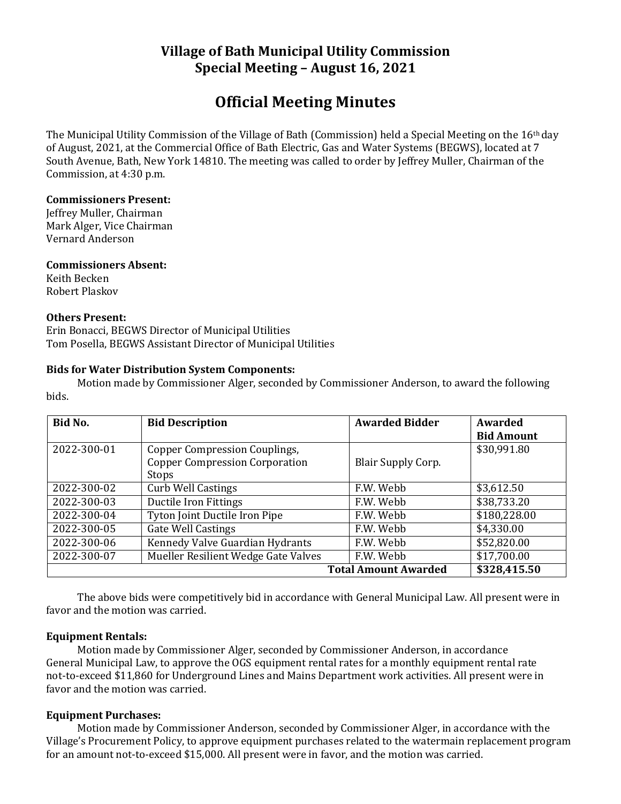# **Village of Bath Municipal Utility Commission Special Meeting – August 16, 2021**

# **Official Meeting Minutes**

The Municipal Utility Commission of the Village of Bath (Commission) held a Special Meeting on the 16th day of August, 2021, at the Commercial Office of Bath Electric, Gas and Water Systems (BEGWS), located at 7 South Avenue, Bath, New York 14810. The meeting was called to order by Jeffrey Muller, Chairman of the Commission, at 4:30 p.m.

## **Commissioners Present:**

Jeffrey Muller, Chairman Mark Alger, Vice Chairman Vernard Anderson

### **Commissioners Absent:**

Keith Becken Robert Plaskov

## **Others Present:**

Erin Bonacci, BEGWS Director of Municipal Utilities Tom Posella, BEGWS Assistant Director of Municipal Utilities

## **Bids for Water Distribution System Components:**

Motion made by Commissioner Alger, seconded by Commissioner Anderson, to award the following bids.

| Bid No.                     | <b>Bid Description</b>                | <b>Awarded Bidder</b>     | Awarded           |
|-----------------------------|---------------------------------------|---------------------------|-------------------|
|                             |                                       |                           | <b>Bid Amount</b> |
| 2022-300-01                 | Copper Compression Couplings,         |                           | \$30,991.80       |
|                             | <b>Copper Compression Corporation</b> | <b>Blair Supply Corp.</b> |                   |
|                             | Stops                                 |                           |                   |
| 2022-300-02                 | <b>Curb Well Castings</b>             | F.W. Webb                 | \$3,612.50        |
| 2022-300-03                 | Ductile Iron Fittings                 | F.W. Webb                 | \$38,733.20       |
| 2022-300-04                 | Tyton Joint Ductile Iron Pipe         | F.W. Webb                 | \$180,228.00      |
| 2022-300-05                 | <b>Gate Well Castings</b>             | F.W. Webb                 | \$4,330.00        |
| 2022-300-06                 | Kennedy Valve Guardian Hydrants       | F.W. Webb                 | \$52,820.00       |
| 2022-300-07                 | Mueller Resilient Wedge Gate Valves   | F.W. Webb                 | \$17,700.00       |
| <b>Total Amount Awarded</b> |                                       |                           | \$328,415.50      |

The above bids were competitively bid in accordance with General Municipal Law. All present were in favor and the motion was carried.

## **Equipment Rentals:**

Motion made by Commissioner Alger, seconded by Commissioner Anderson, in accordance General Municipal Law, to approve the OGS equipment rental rates for a monthly equipment rental rate not-to-exceed \$11,860 for Underground Lines and Mains Department work activities. All present were in favor and the motion was carried.

## **Equipment Purchases:**

Motion made by Commissioner Anderson, seconded by Commissioner Alger, in accordance with the Village's Procurement Policy, to approve equipment purchases related to the watermain replacement program for an amount not-to-exceed \$15,000. All present were in favor, and the motion was carried.